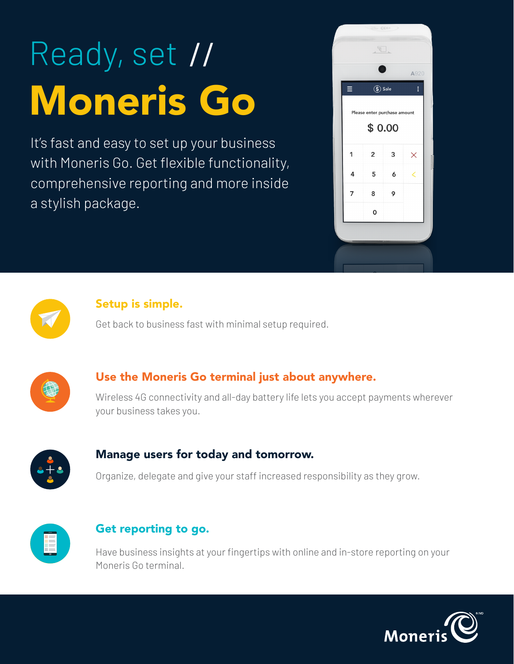# Ready, set // Moneris Go

It's fast and easy to set up your business with Moneris Go. Get flexible functionality, comprehensive reporting and more inside a stylish package.





#### Setup is simple.

Get back to business fast with minimal setup required.



#### Use the Moneris Go terminal just about anywhere.

Wireless 4G connectivity and all-day battery life lets you accept payments wherever your business takes you.



#### Manage users for today and tomorrow.

Organize, delegate and give your staff increased responsibility as they grow.



#### Get reporting to go.

Have business insights at your fingertips with online and in-store reporting on your Moneris Go terminal.